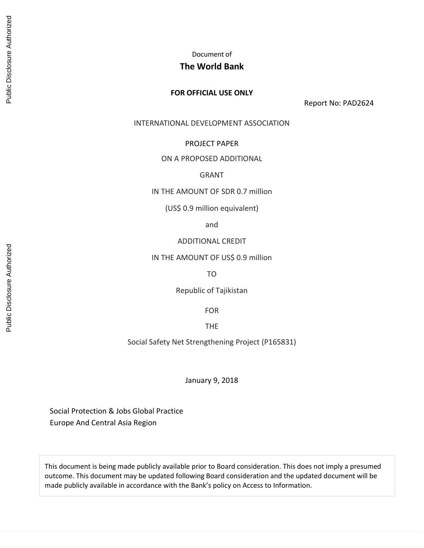Document of

## **The World Bank**

#### **FOR OFFICIAL USE ONLY**

Report No: PAD2624

#### INTERNATIONAL DEVELOPMENT ASSOCIATION

#### PROJECT PAPER

#### ON A PROPOSED ADDITIONAL

### GRANT

IN THE AMOUNT OF SDR 0.7 million

(US\$ 0.9 million equivalent)

and

#### ADDITIONAL CREDIT

IN THE AMOUNT OF US\$ 0.9 million

TO

Republic of Tajikistan

FOR

THE

Social Safety Net Strengthening Project (P165831)

January 9, 2018

Social Protection & Jobs Global Practice Europe And Central Asia Region

This document is being made publicly available prior to Board consideration. This does not imply a presumed outcome. This document may be updated following Board consideration and the updated document will be made publicly available in accordance with the Bank's policy on Access to Information.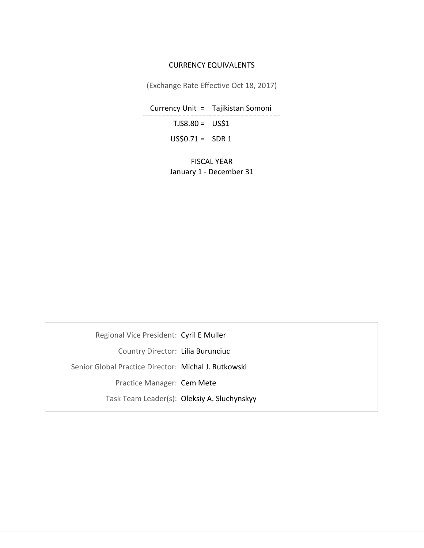## CURRENCY EQUIVALENTS

(Exchange Rate Effective Oct 18, 2017)

Currency Unit = Tajikistan Somoni

 $TJS8.80 = US$1$ 

 $US$0.71 = SDR1$ 

FISCAL YEAR January 1 - December 31

Regional Vice President: Cyril E Muller

Country Director: Lilia Burunciuc

Senior Global Practice Director: Michal J. Rutkowski

Practice Manager: Cem Mete

Task Team Leader(s): Oleksiy A. Sluchynskyy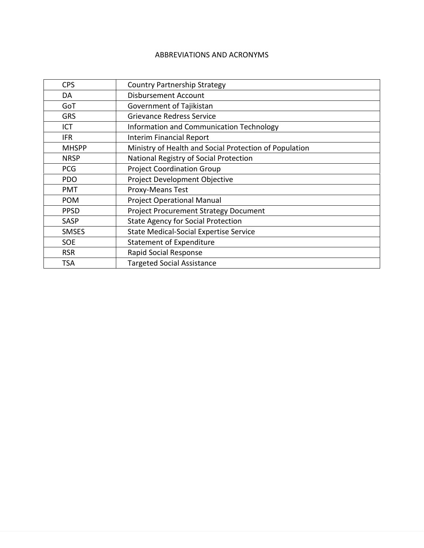## ABBREVIATIONS AND ACRONYMS

| <b>CPS</b>   | <b>Country Partnership Strategy</b>                    |
|--------------|--------------------------------------------------------|
| DA           | <b>Disbursement Account</b>                            |
| GoT          | Government of Tajikistan                               |
| <b>GRS</b>   | <b>Grievance Redress Service</b>                       |
| ICT          | Information and Communication Technology               |
| <b>IFR</b>   | <b>Interim Financial Report</b>                        |
| <b>MHSPP</b> | Ministry of Health and Social Protection of Population |
| <b>NRSP</b>  | National Registry of Social Protection                 |
| <b>PCG</b>   | <b>Project Coordination Group</b>                      |
| <b>PDO</b>   | Project Development Objective                          |
| <b>PMT</b>   | <b>Proxy-Means Test</b>                                |
| <b>POM</b>   | <b>Project Operational Manual</b>                      |
| <b>PPSD</b>  | <b>Project Procurement Strategy Document</b>           |
| SASP         | <b>State Agency for Social Protection</b>              |
| <b>SMSES</b> | <b>State Medical-Social Expertise Service</b>          |
| <b>SOE</b>   | <b>Statement of Expenditure</b>                        |
| <b>RSR</b>   | Rapid Social Response                                  |
| <b>TSA</b>   | <b>Targeted Social Assistance</b>                      |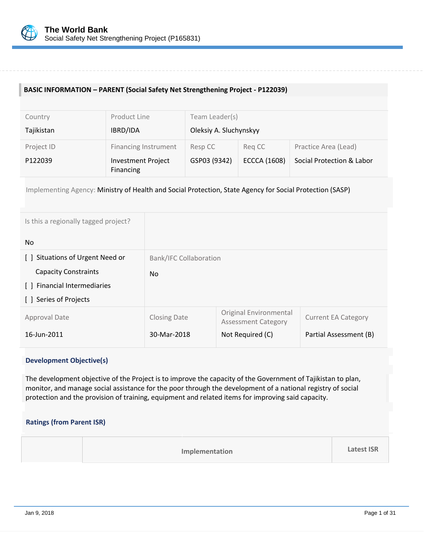

## **BASIC INFORMATION – PARENT (Social Safety Net Strengthening Project - P122039)**

| Country    | Product Line                           | Team Leader(s)         |                     |                           |
|------------|----------------------------------------|------------------------|---------------------|---------------------------|
| Tajikistan | IBRD/IDA                               | Oleksiy A. Sluchynskyy |                     |                           |
| Project ID | <b>Financing Instrument</b>            | Resp CC                | Reg CC              | Practice Area (Lead)      |
| P122039    | <b>Investment Project</b><br>Financing | GSP03 (9342)           | <b>ECCCA (1608)</b> | Social Protection & Labor |

Implementing Agency: Ministry of Health and Social Protection, State Agency for Social Protection (SASP)

| Is this a regionally tagged project?      |                               |                                                             |                            |
|-------------------------------------------|-------------------------------|-------------------------------------------------------------|----------------------------|
| N <sub>o</sub>                            |                               |                                                             |                            |
| Situations of Urgent Need or<br>$\Box$    | <b>Bank/IFC Collaboration</b> |                                                             |                            |
| <b>Capacity Constraints</b>               | <b>No</b>                     |                                                             |                            |
| <b>Financial Intermediaries</b><br>$\Box$ |                               |                                                             |                            |
| Series of Projects<br>$\perp$             |                               |                                                             |                            |
| <b>Approval Date</b>                      | <b>Closing Date</b>           | <b>Original Environmental</b><br><b>Assessment Category</b> | <b>Current EA Category</b> |
| 16-Jun-2011                               | 30-Mar-2018                   | Not Required (C)                                            | Partial Assessment (B)     |

### **Development Objective(s)**

The development objective of the Project is to improve the capacity of the Government of Tajikistan to plan, monitor, and manage social assistance for the poor through the development of a national registry of social protection and the provision of training, equipment and related items for improving said capacity.

### **Ratings (from Parent ISR)**

| <b>Latest ISR</b><br>Implementation |
|-------------------------------------|
|-------------------------------------|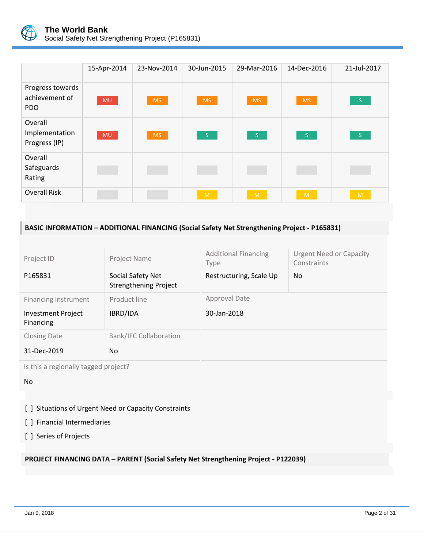

|                                                  | 15-Apr-2014 | 23-Nov-2014 | 30-Jun-2015  | 29-Mar-2016 | 14-Dec-2016     | 21-Jul-2017         |
|--------------------------------------------------|-------------|-------------|--------------|-------------|-----------------|---------------------|
| Progress towards<br>achievement of<br><b>PDO</b> | <b>MU</b>   | <b>MS</b>   | <b>MS</b>    | <b>MS</b>   | <b>MS</b>       | $-$ S $-$           |
| Overall<br>Implementation<br>Progress (IP)       | <b>MU</b>   | <b>MS</b>   | $\mathsf{S}$ | $\sqrt{S}$  | $\sim$ S $\sim$ | $\sim$ S $_{\odot}$ |
| Overall<br>Safeguards<br>Rating                  |             |             |              |             |                 |                     |
| <b>Overall Risk</b>                              |             |             | M            | M           | M               | M                   |

# **BASIC INFORMATION – ADDITIONAL FINANCING (Social Safety Net Strengthening Project - P165831)**

| Project ID                             | Project Name                                      | <b>Additional Financing</b><br>Type | <b>Urgent Need or Capacity</b><br>Constraints |
|----------------------------------------|---------------------------------------------------|-------------------------------------|-----------------------------------------------|
| P165831                                | Social Safety Net<br><b>Strengthening Project</b> | Restructuring, Scale Up             | N <sub>o</sub>                                |
| Financing instrument                   | Product line                                      | Approval Date                       |                                               |
| <b>Investment Project</b><br>Financing | IBRD/IDA                                          | 30-Jan-2018                         |                                               |
| <b>Closing Date</b>                    | <b>Bank/IFC Collaboration</b>                     |                                     |                                               |
| 31-Dec-2019                            | No.                                               |                                     |                                               |
| Is this a regionally tagged project?   |                                                   |                                     |                                               |
| No.                                    |                                                   |                                     |                                               |

[ ] Situations of Urgent Need or Capacity Constraints

[ ] Financial Intermediaries

[ ] Series of Projects

## **PROJECT FINANCING DATA – PARENT (Social Safety Net Strengthening Project - P122039)**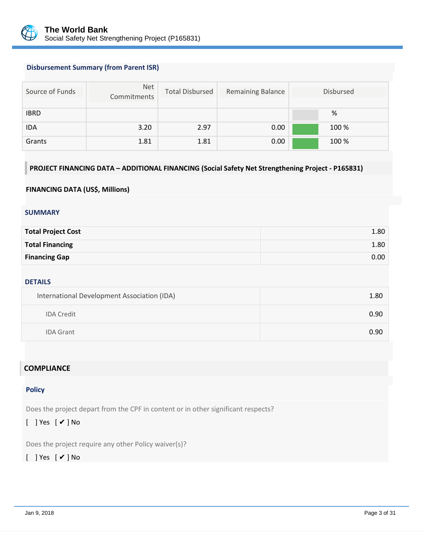

### **Disbursement Summary (from Parent ISR)**

| Source of Funds | Net<br>Commitments | <b>Total Disbursed</b> | <b>Remaining Balance</b> | <b>Disbursed</b> |
|-----------------|--------------------|------------------------|--------------------------|------------------|
| <b>IBRD</b>     |                    |                        |                          | %                |
| <b>IDA</b>      | 3.20               | 2.97                   | 0.00                     | 100 %            |
| Grants          | 1.81               | 1.81                   | 0.00                     | 100 %            |

## **PROJECT FINANCING DATA – ADDITIONAL FINANCING (Social Safety Net Strengthening Project - P165831)**

#### **FINANCING DATA (US\$, Millions)**

#### **SUMMARY**

| <b>Total Project Cost</b> | 1.80 |
|---------------------------|------|
| <b>Total Financing</b>    | 1.80 |
| <b>Financing Gap</b>      | 0.00 |

#### **DETAILS**

| International Development Association (IDA) | 1.80 |
|---------------------------------------------|------|
| <b>IDA Credit</b>                           | 0.90 |
| <b>IDA Grant</b>                            | 0.90 |

## **COMPLIANCE**

#### **Policy**

Does the project depart from the CPF in content or in other significant respects?

## [ ] Yes [ ✔ ] No

Does the project require any other Policy waiver(s)?

## [ ] Yes [ ✔ ] No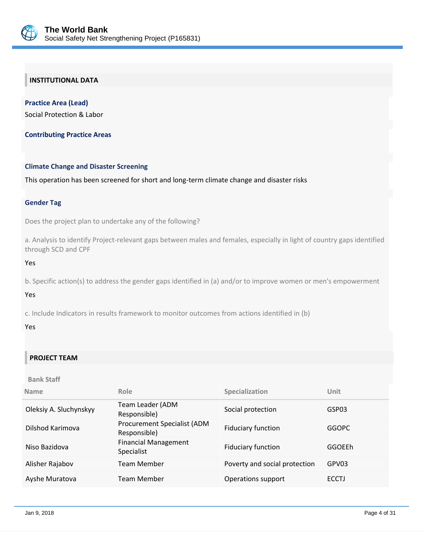

## **INSTITUTIONAL DATA**

**Practice Area (Lead)** Social Protection & Labor

**Contributing Practice Areas**

#### **Climate Change and Disaster Screening**

This operation has been screened for short and long-term climate change and disaster risks

#### **Gender Tag**

Does the project plan to undertake any of the following?

a. Analysis to identify Project-relevant gaps between males and females, especially in light of country gaps identified through SCD and CPF

Yes

b. Specific action(s) to address the gender gaps identified in (a) and/or to improve women or men's empowerment

Yes

c. Include Indicators in results framework to monitor outcomes from actions identified in (b)

#### Yes

## **PROJECT TEAM**

#### **Bank Staff**

| <b>Name</b>            | Role                                             | Specialization                | Unit          |
|------------------------|--------------------------------------------------|-------------------------------|---------------|
| Oleksiy A. Sluchynskyy | Team Leader (ADM<br>Responsible)                 | Social protection             | GSP03         |
| Dilshod Karimova       | Procurement Specialist (ADM<br>Responsible)      | <b>Fiduciary function</b>     | <b>GGOPC</b>  |
| Niso Bazidova          | <b>Financial Management</b><br><b>Specialist</b> | <b>Fiduciary function</b>     | <b>GGOEEh</b> |
| Alisher Rajabov        | <b>Team Member</b>                               | Poverty and social protection | GPV03         |
| Ayshe Muratova         | Team Member                                      | Operations support            | <b>ECCTJ</b>  |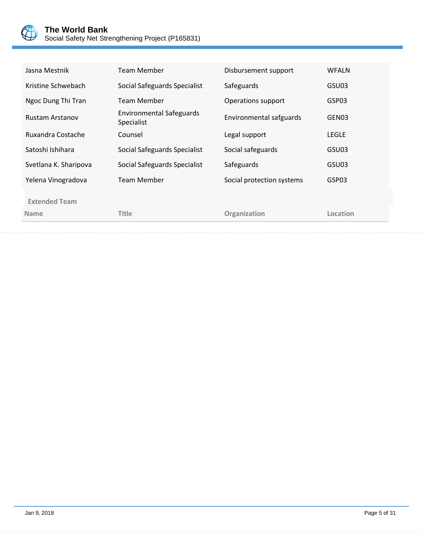

| Kristine Schwebach<br>Social Safeguards Specialist<br>Safeguards                                   | GSU03             |
|----------------------------------------------------------------------------------------------------|-------------------|
|                                                                                                    |                   |
| Ngoc Dung Thi Tran<br><b>Team Member</b><br>Operations support                                     | GSP03             |
| <b>Environmental Safeguards</b><br>Environmental safguards<br><b>Rustam Arstanov</b><br>Specialist | GEN <sub>03</sub> |
| Ruxandra Costache<br>Counsel<br>Legal support                                                      | <b>LEGLE</b>      |
| Satoshi Ishihara<br>Social safeguards<br>Social Safeguards Specialist                              | GSU03             |
| Social Safeguards Specialist<br>Svetlana K. Sharipova<br>Safeguards                                | GSU03             |
| <b>Team Member</b><br>Social protection systems<br>Yelena Vinogradova                              | GSP03             |
| <b>Extended Team</b><br><b>Title</b><br>Organization<br><b>Name</b>                                | Location          |
|                                                                                                    |                   |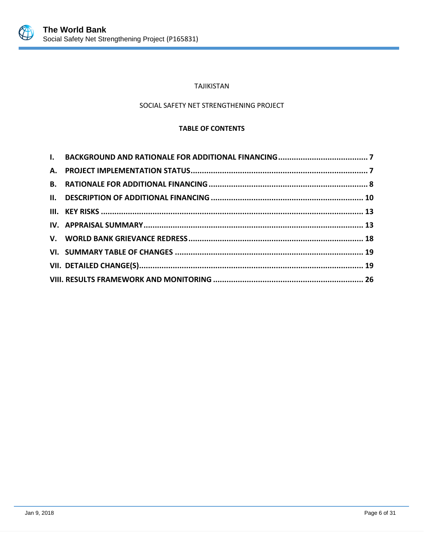

## TAJIKISTAN

## SOCIAL SAFETY NET STRENGTHENING PROJECT

### **TABLE OF CONTENTS**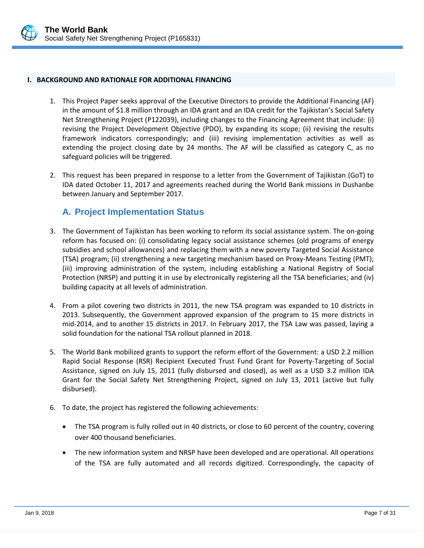

#### <span id="page-9-0"></span>**I. BACKGROUND AND RATIONALE FOR ADDITIONAL FINANCING**

- 1. This Project Paper seeks approval of the Executive Directors to provide the Additional Financing (AF) in the amount of \$1.8 million through an IDA grant and an IDA credit for the Tajikistan's Social Safety Net Strengthening Project (P122039), including changes to the Financing Agreement that include: (i) revising the Project Development Objective (PDO), by expanding its scope; (ii) revising the results framework indicators correspondingly; and (iii) revising implementation activities as well as extending the project closing date by 24 months. The AF will be classified as category C, as no safeguard policies will be triggered.
- 2. This request has been prepared in response to a letter from the Government of Tajikistan (GoT) to IDA dated October 11, 2017 and agreements reached during the World Bank missions in Dushanbe between January and September 2017.

# <span id="page-9-1"></span>**A. Project Implementation Status**

- 3. The Government of Tajikistan has been working to reform its social assistance system. The on-going reform has focused on: (i) consolidating legacy social assistance schemes (old programs of energy subsidies and school allowances) and replacing them with a new poverty Targeted Social Assistance (TSA) program; (ii) strengthening a new targeting mechanism based on Proxy-Means Testing (PMT); (iii) improving administration of the system, including establishing a National Registry of Social Protection (NRSP) and putting it in use by electronically registering all the TSA beneficiaries; and (iv) building capacity at all levels of administration.
- 4. From a pilot covering two districts in 2011, the new TSA program was expanded to 10 districts in 2013. Subsequently, the Government approved expansion of the program to 15 more districts in mid-2014, and to another 15 districts in 2017. In February 2017, the TSA Law was passed, laying a solid foundation for the national TSA rollout planned in 2018.
- 5. The World Bank mobilized grants to support the reform effort of the Government: a USD 2.2 million Rapid Social Response (RSR) Recipient Executed Trust Fund Grant for Poverty-Targeting of Social Assistance, signed on July 15, 2011 (fully disbursed and closed), as well as a USD 3.2 million IDA Grant for the Social Safety Net Strengthening Project, signed on July 13, 2011 (active but fully disbursed).
- 6. To date, the project has registered the following achievements:
	- The TSA program is fully rolled out in 40 districts, or close to 60 percent of the country, covering over 400 thousand beneficiaries.
	- The new information system and NRSP have been developed and are operational. All operations of the TSA are fully automated and all records digitized. Correspondingly, the capacity of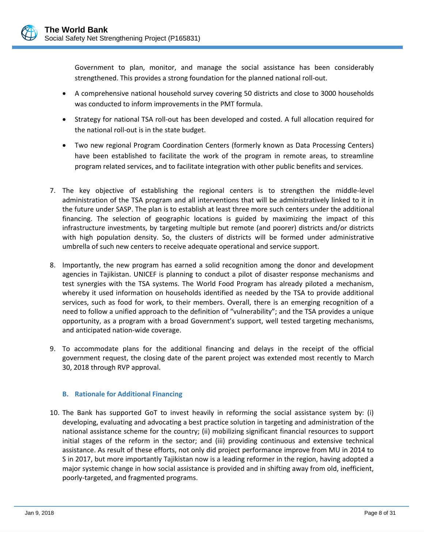Government to plan, monitor, and manage the social assistance has been considerably strengthened. This provides a strong foundation for the planned national roll-out.

- A comprehensive national household survey covering 50 districts and close to 3000 households was conducted to inform improvements in the PMT formula.
- Strategy for national TSA roll-out has been developed and costed. A full allocation required for the national roll-out is in the state budget.
- Two new regional Program Coordination Centers (formerly known as Data Processing Centers) have been established to facilitate the work of the program in remote areas, to streamline program related services, and to facilitate integration with other public benefits and services.
- 7. The key objective of establishing the regional centers is to strengthen the middle-level administration of the TSA program and all interventions that will be administratively linked to it in the future under SASP. The plan is to establish at least three more such centers under the additional financing. The selection of geographic locations is guided by maximizing the impact of this infrastructure investments, by targeting multiple but remote (and poorer) districts and/or districts with high population density. So, the clusters of districts will be formed under administrative umbrella of such new centers to receive adequate operational and service support.
- 8. Importantly, the new program has earned a solid recognition among the donor and development agencies in Tajikistan. UNICEF is planning to conduct a pilot of disaster response mechanisms and test synergies with the TSA systems. The World Food Program has already piloted a mechanism, whereby it used information on households identified as needed by the TSA to provide additional services, such as food for work, to their members. Overall, there is an emerging recognition of a need to follow a unified approach to the definition of "vulnerability"; and the TSA provides a unique opportunity, as a program with a broad Government's support, well tested targeting mechanisms, and anticipated nation-wide coverage.
- 9. To accommodate plans for the additional financing and delays in the receipt of the official government request, the closing date of the parent project was extended most recently to March 30, 2018 through RVP approval.

### <span id="page-10-0"></span>**B. Rationale for Additional Financing**

10. The Bank has supported GoT to invest heavily in reforming the social assistance system by: (i) developing, evaluating and advocating a best practice solution in targeting and administration of the national assistance scheme for the country; (ii) mobilizing significant financial resources to support initial stages of the reform in the sector; and (iii) providing continuous and extensive technical assistance. As result of these efforts, not only did project performance improve from MU in 2014 to S in 2017, but more importantly Tajikistan now is a leading reformer in the region, having adopted a major systemic change in how social assistance is provided and in shifting away from old, inefficient, poorly-targeted, and fragmented programs.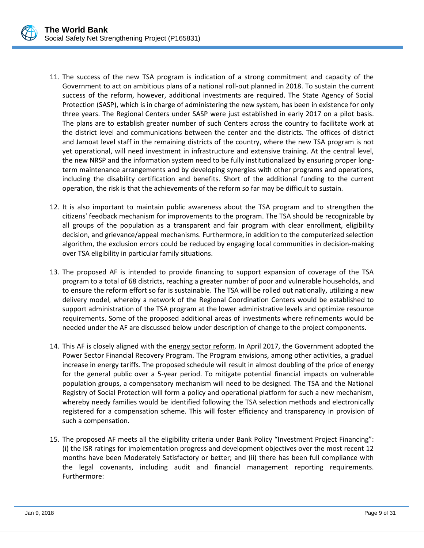

- 11. The success of the new TSA program is indication of a strong commitment and capacity of the Government to act on ambitious plans of a national roll-out planned in 2018. To sustain the current success of the reform, however, additional investments are required. The State Agency of Social Protection (SASP), which is in charge of administering the new system, has been in existence for only three years. The Regional Centers under SASP were just established in early 2017 on a pilot basis. The plans are to establish greater number of such Centers across the country to facilitate work at the district level and communications between the center and the districts. The offices of district and Jamoat level staff in the remaining districts of the country, where the new TSA program is not yet operational, will need investment in infrastructure and extensive training. At the central level, the new NRSP and the information system need to be fully institutionalized by ensuring proper longterm maintenance arrangements and by developing synergies with other programs and operations, including the disability certification and benefits. Short of the additional funding to the current operation, the risk is that the achievements of the reform so far may be difficult to sustain.
- 12. It is also important to maintain public awareness about the TSA program and to strengthen the citizens' feedback mechanism for improvements to the program. The TSA should be recognizable by all groups of the population as a transparent and fair program with clear enrollment, eligibility decision, and grievance/appeal mechanisms. Furthermore, in addition to the computerized selection algorithm, the exclusion errors could be reduced by engaging local communities in decision-making over TSA eligibility in particular family situations.
- 13. The proposed AF is intended to provide financing to support expansion of coverage of the TSA program to a total of 68 districts, reaching a greater number of poor and vulnerable households, and to ensure the reform effort so far is sustainable. The TSA will be rolled out nationally, utilizing a new delivery model, whereby a network of the Regional Coordination Centers would be established to support administration of the TSA program at the lower administrative levels and optimize resource requirements. Some of the proposed additional areas of investments where refinements would be needed under the AF are discussed below under description of change to the project components.
- 14. This AF is closely aligned with the energy sector reform. In April 2017, the Government adopted the Power Sector Financial Recovery Program. The Program envisions, among other activities, a gradual increase in energy tariffs. The proposed schedule will result in almost doubling of the price of energy for the general public over a 5-year period. To mitigate potential financial impacts on vulnerable population groups, a compensatory mechanism will need to be designed. The TSA and the National Registry of Social Protection will form a policy and operational platform for such a new mechanism, whereby needy families would be identified following the TSA selection methods and electronically registered for a compensation scheme. This will foster efficiency and transparency in provision of such a compensation.
- 15. The proposed AF meets all the eligibility criteria under Bank Policy "Investment Project Financing": (i) the ISR ratings for implementation progress and development objectives over the most recent 12 months have been Moderately Satisfactory or better; and (ii) there has been full compliance with the legal covenants, including audit and financial management reporting requirements. Furthermore: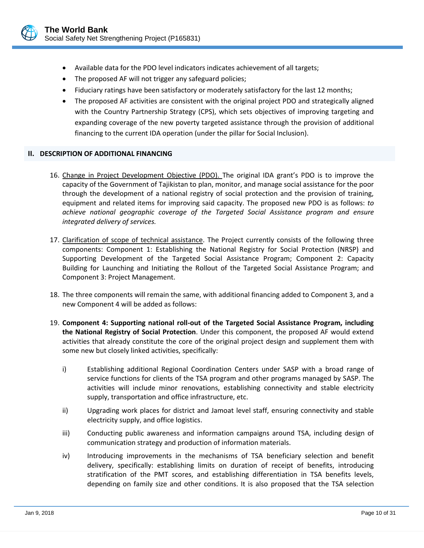

- Available data for the PDO level indicators indicates achievement of all targets;
- The proposed AF will not trigger any safeguard policies;
- Fiduciary ratings have been satisfactory or moderately satisfactory for the last 12 months;
- The proposed AF activities are consistent with the original project PDO and strategically aligned with the Country Partnership Strategy (CPS), which sets objectives of improving targeting and expanding coverage of the new poverty targeted assistance through the provision of additional financing to the current IDA operation (under the pillar for Social Inclusion).

### <span id="page-12-0"></span>**II. DESCRIPTION OF ADDITIONAL FINANCING**

- 16. Change in Project Development Objective (PDO). The original IDA grant's PDO is to improve the capacity of the Government of Tajikistan to plan, monitor, and manage social assistance for the poor through the development of a national registry of social protection and the provision of training, equipment and related items for improving said capacity. The proposed new PDO is as follows: *to achieve national geographic coverage of the Targeted Social Assistance program and ensure integrated delivery of services.*
- 17. Clarification of scope of technical assistance. The Project currently consists of the following three components: Component 1: Establishing the National Registry for Social Protection (NRSP) and Supporting Development of the Targeted Social Assistance Program; Component 2: Capacity Building for Launching and Initiating the Rollout of the Targeted Social Assistance Program; and Component 3: Project Management.
- 18. The three components will remain the same, with additional financing added to Component 3, and a new Component 4 will be added as follows:
- 19. **Component 4: Supporting national roll-out of the Targeted Social Assistance Program, including the National Registry of Social Protection**. Under this component, the proposed AF would extend activities that already constitute the core of the original project design and supplement them with some new but closely linked activities, specifically:
	- i) Establishing additional Regional Coordination Centers under SASP with a broad range of service functions for clients of the TSA program and other programs managed by SASP. The activities will include minor renovations, establishing connectivity and stable electricity supply, transportation and office infrastructure, etc.
	- ii) Upgrading work places for district and Jamoat level staff, ensuring connectivity and stable electricity supply, and office logistics.
	- iii) Conducting public awareness and information campaigns around TSA, including design of communication strategy and production of information materials.
	- iv) Introducing improvements in the mechanisms of TSA beneficiary selection and benefit delivery, specifically: establishing limits on duration of receipt of benefits, introducing stratification of the PMT scores, and establishing differentiation in TSA benefits levels, depending on family size and other conditions. It is also proposed that the TSA selection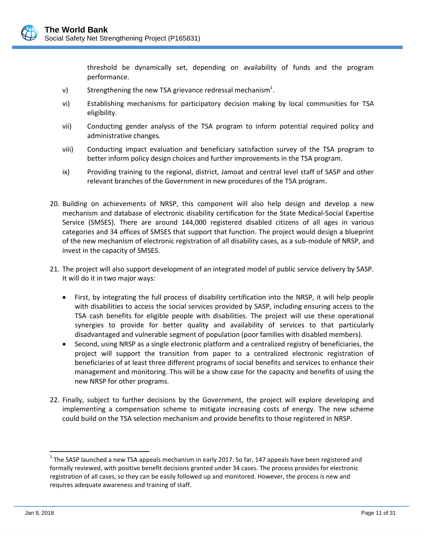

threshold be dynamically set, depending on availability of funds and the program performance.

- v) Strengthening the new TSA grievance redressal mechanism<sup>1</sup>.
- vi) Establishing mechanisms for participatory decision making by local communities for TSA eligibility.
- vii) Conducting gender analysis of the TSA program to inform potential required policy and administrative changes.
- viii) Conducting impact evaluation and beneficiary satisfaction survey of the TSA program to better inform policy design choices and further improvements in the TSA program.
- ix) Providing training to the regional, district, Jamoat and central level staff of SASP and other relevant branches of the Government in new procedures of the TSA program.
- 20. Building on achievements of NRSP, this component will also help design and develop a new mechanism and database of electronic disability certification for the State Medical-Social Expertise Service (SMSES). There are around 144,000 registered disabled citizens of all ages in various categories and 34 offices of SMSES that support that function. The project would design a blueprint of the new mechanism of electronic registration of all disability cases, as a sub-module of NRSP, and invest in the capacity of SMSES.
- 21. The project will also support development of an integrated model of public service delivery by SASP. It will do it in two major ways:
	- First, by integrating the full process of disability certification into the NRSP, it will help people with disabilities to access the social services provided by SASP, including ensuring access to the TSA cash benefits for eligible people with disabilities. The project will use these operational synergies to provide for better quality and availability of services to that particularly disadvantaged and vulnerable segment of population (poor families with disabled members).
	- Second, using NRSP as a single electronic platform and a centralized registry of beneficiaries, the project will support the transition from paper to a centralized electronic registration of beneficiaries of at least three different programs of social benefits and services to enhance their management and monitoring. This will be a show case for the capacity and benefits of using the new NRSP for other programs.
- 22. Finally, subject to further decisions by the Government, the project will explore developing and implementing a compensation scheme to mitigate increasing costs of energy. The new scheme could build on the TSA selection mechanism and provide benefits to those registered in NRSP.

 $\overline{a}$ 

 $^1$  The SASP launched a new TSA appeals mechanism in early 2017. So far, 147 appeals have been registered and formally reviewed, with positive benefit decisions granted under 34 cases. The process provides for electronic registration of all cases, so they can be easily followed up and monitored. However, the process is new and requires adequate awareness and training of staff.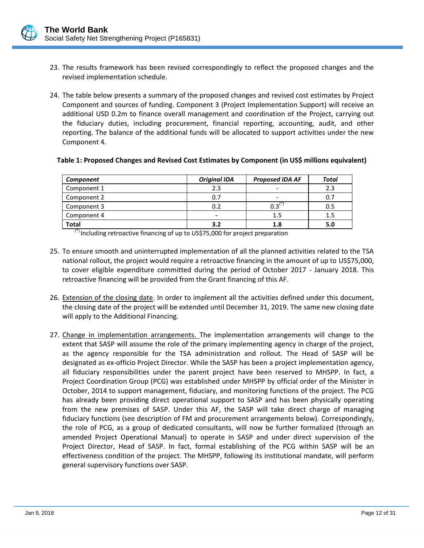- 23. The results framework has been revised correspondingly to reflect the proposed changes and the revised implementation schedule.
- 24. The table below presents a summary of the proposed changes and revised cost estimates by Project Component and sources of funding. Component 3 (Project Implementation Support) will receive an additional USD 0.2m to finance overall management and coordination of the Project, carrying out the fiduciary duties, including procurement, financial reporting, accounting, audit, and other reporting. The balance of the additional funds will be allocated to support activities under the new Component 4.

| Table 1: Proposed Changes and Revised Cost Estimates by Component (in US\$ millions equivalent) |  |  |  |
|-------------------------------------------------------------------------------------------------|--|--|--|
|-------------------------------------------------------------------------------------------------|--|--|--|

| Component                     | <b>Original IDA</b> | <b>Proposed IDA AF</b>   | Total |
|-------------------------------|---------------------|--------------------------|-------|
| Component 1                   | 2.3                 | $\overline{\phantom{a}}$ | 2.3   |
| Component 2                   | 0.7                 | $\overline{\phantom{a}}$ | 0.7   |
| Component 3                   | 0.2                 | ∵ا 2∩                    | 0.5   |
| Component 4                   | -                   | $1.5\,$                  | 1.5   |
| <b>Total</b><br>$\rightarrow$ | 3.2                 | 1.8                      | 5.0   |

(\*) Including retroactive financing of up to US\$75,000 for project preparation

- 25. To ensure smooth and uninterrupted implementation of all the planned activities related to the TSA national rollout, the project would require a retroactive financing in the amount of up to US\$75,000, to cover eligible expenditure committed during the period of October 2017 - January 2018. This retroactive financing will be provided from the Grant financing of this AF.
- 26. Extension of the closing date. In order to implement all the activities defined under this document, the closing date of the project will be extended until December 31, 2019. The same new closing date will apply to the Additional Financing.
- 27. Change in implementation arrangements. The implementation arrangements will change to the extent that SASP will assume the role of the primary implementing agency in charge of the project, as the agency responsible for the TSA administration and rollout. The Head of SASP will be designated as ex-officio Project Director. While the SASP has been a project implementation agency, all fiduciary responsibilities under the parent project have been reserved to MHSPP. In fact, a Project Coordination Group (PCG) was established under MHSPP by official order of the Minister in October, 2014 to support management, fiduciary, and monitoring functions of the project. The PCG has already been providing direct operational support to SASP and has been physically operating from the new premises of SASP. Under this AF, the SASP will take direct charge of managing fiduciary functions (see description of FM and procurement arrangements below). Correspondingly, the role of PCG, as a group of dedicated consultants, will now be further formalized (through an amended Project Operational Manual) to operate in SASP and under direct supervision of the Project Director, Head of SASP. In fact, formal establishing of the PCG within SASP will be an effectiveness condition of the project. The MHSPP, following its institutional mandate, will perform general supervisory functions over SASP.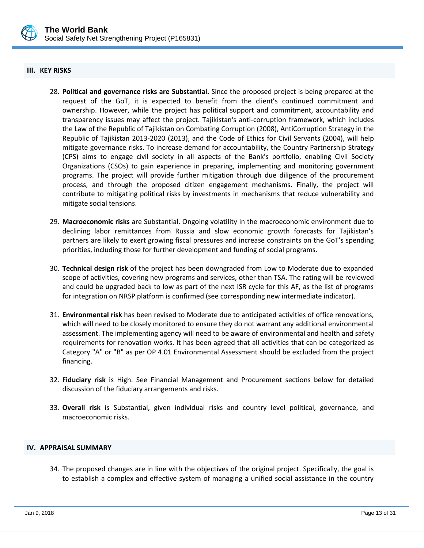

#### <span id="page-15-0"></span>**III. KEY RISKS**

- 28. **Political and governance risks are Substantial.** Since the proposed project is being prepared at the request of the GoT, it is expected to benefit from the client's continued commitment and ownership. However, while the project has political support and commitment, accountability and transparency issues may affect the project. Tajikistan's anti-corruption framework, which includes the Law of the Republic of Tajikistan on Combating Corruption (2008), AntiCorruption Strategy in the Republic of Tajikistan 2013-2020 (2013), and the Code of Ethics for Civil Servants (2004), will help mitigate governance risks. To increase demand for accountability, the Country Partnership Strategy (CPS) aims to engage civil society in all aspects of the Bank's portfolio, enabling Civil Society Organizations (CSOs) to gain experience in preparing, implementing and monitoring government programs. The project will provide further mitigation through due diligence of the procurement process, and through the proposed citizen engagement mechanisms. Finally, the project will contribute to mitigating political risks by investments in mechanisms that reduce vulnerability and mitigate social tensions.
- 29. **Macroeconomic risks** are Substantial. Ongoing volatility in the macroeconomic environment due to declining labor remittances from Russia and slow economic growth forecasts for Tajikistan's partners are likely to exert growing fiscal pressures and increase constraints on the GoT's spending priorities, including those for further development and funding of social programs.
- 30. **Technical design risk** of the project has been downgraded from Low to Moderate due to expanded scope of activities, covering new programs and services, other than TSA. The rating will be reviewed and could be upgraded back to low as part of the next ISR cycle for this AF, as the list of programs for integration on NRSP platform is confirmed (see corresponding new intermediate indicator).
- 31. **Environmental risk** has been revised to Moderate due to anticipated activities of office renovations, which will need to be closely monitored to ensure they do not warrant any additional environmental assessment. The implementing agency will need to be aware of environmental and health and safety requirements for renovation works. It has been agreed that all activities that can be categorized as Category "A" or "B" as per OP 4.01 Environmental Assessment should be excluded from the project financing.
- 32. **Fiduciary risk** is High. See Financial Management and Procurement sections below for detailed discussion of the fiduciary arrangements and risks.
- 33. **Overall risk** is Substantial, given individual risks and country level political, governance, and macroeconomic risks.

#### <span id="page-15-1"></span>**IV. APPRAISAL SUMMARY**

34. The proposed changes are in line with the objectives of the original project. Specifically, the goal is to establish a complex and effective system of managing a unified social assistance in the country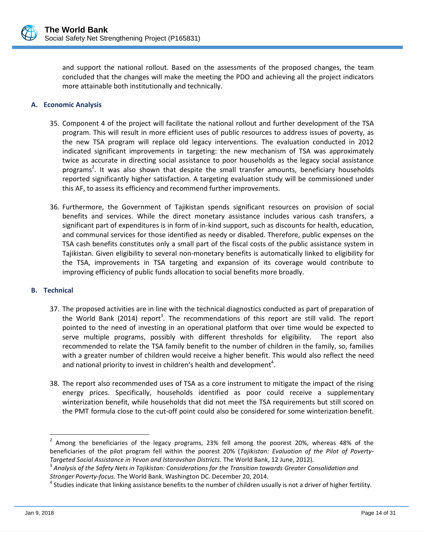

and support the national rollout. Based on the assessments of the proposed changes, the team concluded that the changes will make the meeting the PDO and achieving all the project indicators more attainable both institutionally and technically.

### **A. Economic Analysis**

- 35. Component 4 of the project will facilitate the national rollout and further development of the TSA program. This will result in more efficient uses of public resources to address issues of poverty, as the new TSA program will replace old legacy interventions. The evaluation conducted in 2012 indicated significant improvements in targeting: the new mechanism of TSA was approximately twice as accurate in directing social assistance to poor households as the legacy social assistance programs<sup>2</sup>. It was also shown that despite the small transfer amounts, beneficiary households reported significantly higher satisfaction. A targeting evaluation study will be commissioned under this AF, to assess its efficiency and recommend further improvements.
- 36. Furthermore, the Government of Tajikistan spends significant resources on provision of social benefits and services. While the direct monetary assistance includes various cash transfers, a significant part of expenditures is in form of in-kind support, such as discounts for health, education, and communal services for those identified as needy or disabled. Therefore, public expenses on the TSA cash benefits constitutes only a small part of the fiscal costs of the public assistance system in Tajikistan. Given eligibility to several non-monetary benefits is automatically linked to eligibility for the TSA, improvements in TSA targeting and expansion of its coverage would contribute to improving efficiency of public funds allocation to social benefits more broadly.

#### **B. Technical**

- 37. The proposed activities are in line with the technical diagnostics conducted as part of preparation of the World Bank (2014) report<sup>3</sup>. The recommendations of this report are still valid. The report pointed to the need of investing in an operational platform that over time would be expected to serve multiple programs, possibly with different thresholds for eligibility. The report also recommended to relate the TSA family benefit to the number of children in the family, so, families with a greater number of children would receive a higher benefit. This would also reflect the need and national priority to invest in children's health and development<sup>4</sup>.
- 38. The report also recommended uses of TSA as a core instrument to mitigate the impact of the rising energy prices. Specifically, households identified as poor could receive a supplementary winterization benefit, while households that did not meet the TSA requirements but still scored on the PMT formula close to the cut-off point could also be considered for some winterization benefit.

 $\overline{a}$ 

 $2$  Among the beneficiaries of the legacy programs, 23% fell among the poorest 20%, whereas 48% of the beneficiaries of the pilot program fell within the poorest 20% (*Tajikistan: Evaluation of the Pilot of Poverty-Targeted Social Assistance in Yevon and Istaravshan Districts.* The World Bank, 12 June, 2012).

<sup>3</sup> *Analysis of the Safety Nets in Tajikistan: Considerations for the Transition towards Greater Consolidation and Stronger Poverty-focus*. The World Bank. Washington DC. December 20, 2014.

<sup>&</sup>lt;sup>4</sup> Studies indicate that linking assistance benefits to the number of children usually is not a driver of higher fertility.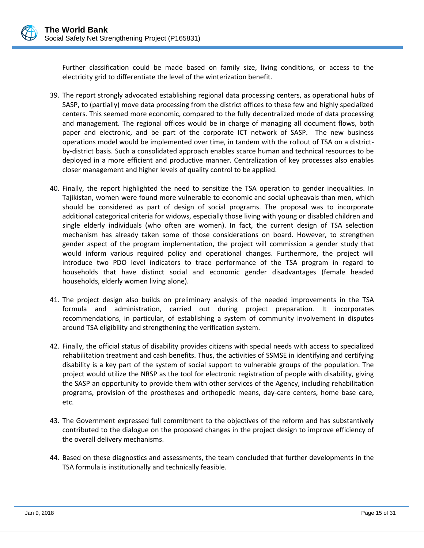Further classification could be made based on family size, living conditions, or access to the electricity grid to differentiate the level of the winterization benefit.

- 39. The report strongly advocated establishing regional data processing centers, as operational hubs of SASP, to (partially) move data processing from the district offices to these few and highly specialized centers. This seemed more economic, compared to the fully decentralized mode of data processing and management. The regional offices would be in charge of managing all document flows, both paper and electronic, and be part of the corporate ICT network of SASP. The new business operations model would be implemented over time, in tandem with the rollout of TSA on a districtby-district basis. Such a consolidated approach enables scarce human and technical resources to be deployed in a more efficient and productive manner. Centralization of key processes also enables closer management and higher levels of quality control to be applied.
- 40. Finally, the report highlighted the need to sensitize the TSA operation to gender inequalities. In Tajikistan, women were found more vulnerable to economic and social upheavals than men, which should be considered as part of design of social programs. The proposal was to incorporate additional categorical criteria for widows, especially those living with young or disabled children and single elderly individuals (who often are women). In fact, the current design of TSA selection mechanism has already taken some of those considerations on board. However, to strengthen gender aspect of the program implementation, the project will commission a gender study that would inform various required policy and operational changes. Furthermore, the project will introduce two PDO level indicators to trace performance of the TSA program in regard to households that have distinct social and economic gender disadvantages (female headed households, elderly women living alone).
- 41. The project design also builds on preliminary analysis of the needed improvements in the TSA formula and administration, carried out during project preparation. It incorporates recommendations, in particular, of establishing a system of community involvement in disputes around TSA eligibility and strengthening the verification system.
- 42. Finally, the official status of disability provides citizens with special needs with access to specialized rehabilitation treatment and cash benefits. Thus, the activities of SSMSE in identifying and certifying disability is a key part of the system of social support to vulnerable groups of the population. The project would utilize the NRSP as the tool for electronic registration of people with disability, giving the SASP an opportunity to provide them with other services of the Agency, including rehabilitation programs, provision of the prostheses and orthopedic means, day-care centers, home base care, etc.
- 43. The Government expressed full commitment to the objectives of the reform and has substantively contributed to the dialogue on the proposed changes in the project design to improve efficiency of the overall delivery mechanisms.
- 44. Based on these diagnostics and assessments, the team concluded that further developments in the TSA formula is institutionally and technically feasible.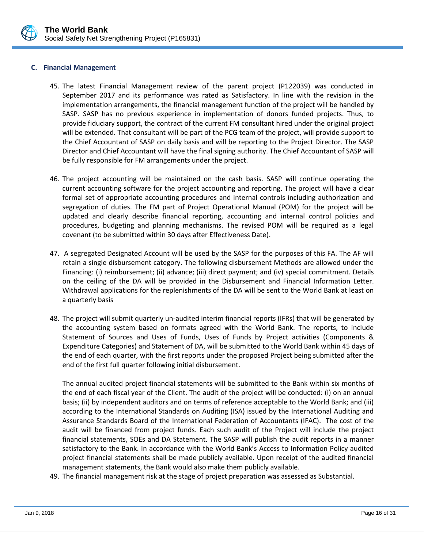

#### **C. Financial Management**

- 45. The latest Financial Management review of the parent project (P122039) was conducted in September 2017 and its performance was rated as Satisfactory. In line with the revision in the implementation arrangements, the financial management function of the project will be handled by SASP. SASP has no previous experience in implementation of donors funded projects. Thus, to provide fiduciary support, the contract of the current FM consultant hired under the original project will be extended. That consultant will be part of the PCG team of the project, will provide support to the Chief Accountant of SASP on daily basis and will be reporting to the Project Director. The SASP Director and Chief Accountant will have the final signing authority. The Chief Accountant of SASP will be fully responsible for FM arrangements under the project.
- 46. The project accounting will be maintained on the cash basis. SASP will continue operating the current accounting software for the project accounting and reporting. The project will have a clear formal set of appropriate accounting procedures and internal controls including authorization and segregation of duties. The FM part of Project Operational Manual (POM) for the project will be updated and clearly describe financial reporting, accounting and internal control policies and procedures, budgeting and planning mechanisms. The revised POM will be required as a legal covenant (to be submitted within 30 days after Effectiveness Date).
- 47. A segregated Designated Account will be used by the SASP for the purposes of this FA. The AF will retain a single disbursement category. The following disbursement Methods are allowed under the Financing: (i) reimbursement; (ii) advance; (iii) direct payment; and (iv) special commitment. Details on the ceiling of the DA will be provided in the Disbursement and Financial Information Letter. Withdrawal applications for the replenishments of the DA will be sent to the World Bank at least on a quarterly basis
- 48. The project will submit quarterly un-audited interim financial reports (IFRs) that will be generated by the accounting system based on formats agreed with the World Bank. The reports, to include Statement of Sources and Uses of Funds, Uses of Funds by Project activities (Components & Expenditure Categories) and Statement of DA, will be submitted to the World Bank within 45 days of the end of each quarter, with the first reports under the proposed Project being submitted after the end of the first full quarter following initial disbursement.

The annual audited project financial statements will be submitted to the Bank within six months of the end of each fiscal year of the Client. The audit of the project will be conducted: (i) on an annual basis; (ii) by independent auditors and on terms of reference acceptable to the World Bank; and (iii) according to the International Standards on Auditing (ISA) issued by the International Auditing and Assurance Standards Board of the International Federation of Accountants (IFAC). The cost of the audit will be financed from project funds. Each such audit of the Project will include the project financial statements, SOEs and DA Statement. The SASP will publish the audit reports in a manner satisfactory to the Bank. In accordance with the World Bank's Access to Information Policy audited project financial statements shall be made publicly available. Upon receipt of the audited financial management statements, the Bank would also make them publicly available.

49. The financial management risk at the stage of project preparation was assessed as Substantial.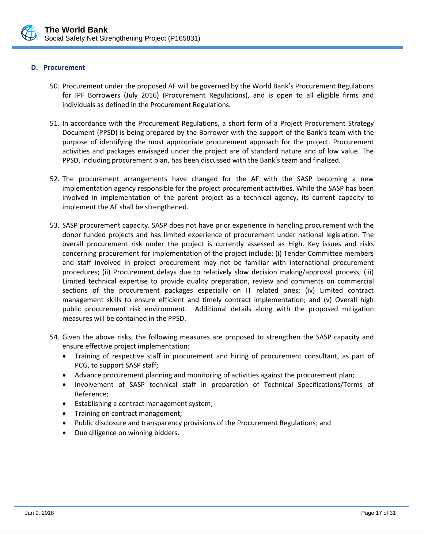

#### **D. Procurement**

- 50. Procurement under the proposed AF will be governed by the World Bank's Procurement Regulations for IPF Borrowers (July 2016) (Procurement Regulations), and is open to all eligible firms and individuals as defined in the Procurement Regulations.
- 51. In accordance with the Procurement Regulations, a short form of a Project Procurement Strategy Document (PPSD) is being prepared by the Borrower with the support of the Bank's team with the purpose of identifying the most appropriate procurement approach for the project. Procurement activities and packages envisaged under the project are of standard nature and of low value. The PPSD, including procurement plan, has been discussed with the Bank's team and finalized.
- 52. The procurement arrangements have changed for the AF with the SASP becoming a new implementation agency responsible for the project procurement activities. While the SASP has been involved in implementation of the parent project as a technical agency, its current capacity to implement the AF shall be strengthened.
- 53. SASP procurement capacity. SASP does not have prior experience in handling procurement with the donor funded projects and has limited experience of procurement under national legislation. The overall procurement risk under the project is currently assessed as High. Key issues and risks concerning procurement for implementation of the project include: (i) Tender Committee members and staff involved in project procurement may not be familiar with international procurement procedures; (ii) Procurement delays due to relatively slow decision making/approval process; (iii) Limited technical expertise to provide quality preparation, review and comments on commercial sections of the procurement packages especially on IT related ones; (iv) Limited contract management skills to ensure efficient and timely contract implementation; and (v) Overall high public procurement risk environment. Additional details along with the proposed mitigation measures will be contained in the PPSD.
- 54. Given the above risks, the following measures are proposed to strengthen the SASP capacity and ensure effective project implementation:
	- Training of respective staff in procurement and hiring of procurement consultant, as part of PCG, to support SASP staff;
	- Advance procurement planning and monitoring of activities against the procurement plan;
	- Involvement of SASP technical staff in preparation of Technical Specifications/Terms of Reference;
	- Establishing a contract management system;
	- Training on contract management;
	- Public disclosure and transparency provisions of the Procurement Regulations; and
	- Due diligence on winning bidders.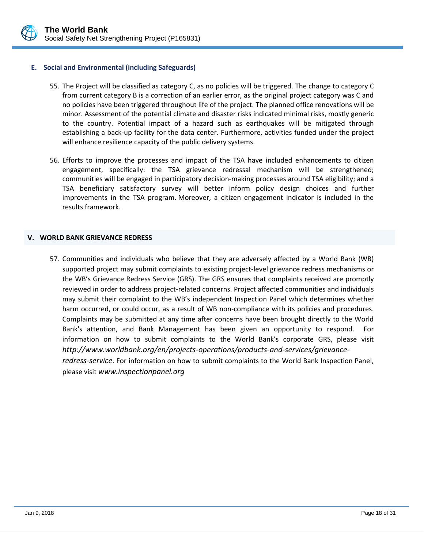

#### **E. Social and Environmental (including Safeguards)**

- 55. The Project will be classified as category C, as no policies will be triggered. The change to category C from current category B is a correction of an earlier error, as the original project category was C and no policies have been triggered throughout life of the project. The planned office renovations will be minor. Assessment of the potential climate and disaster risks indicated minimal risks, mostly generic to the country. Potential impact of a hazard such as earthquakes will be mitigated through establishing a back-up facility for the data center. Furthermore, activities funded under the project will enhance resilience capacity of the public delivery systems.
- 56. Efforts to improve the processes and impact of the TSA have included enhancements to citizen engagement, specifically: the TSA grievance redressal mechanism will be strengthened; communities will be engaged in participatory decision-making processes around TSA eligibility; and a TSA beneficiary satisfactory survey will better inform policy design choices and further improvements in the TSA program. Moreover, a citizen engagement indicator is included in the results framework.

#### <span id="page-20-0"></span>**V. WORLD BANK GRIEVANCE REDRESS**

57. Communities and individuals who believe that they are adversely affected by a World Bank (WB) supported project may submit complaints to existing project-level grievance redress mechanisms or the WB's Grievance Redress Service (GRS). The GRS ensures that complaints received are promptly reviewed in order to address project-related concerns. Project affected communities and individuals may submit their complaint to the WB's independent Inspection Panel which determines whether harm occurred, or could occur, as a result of WB non-compliance with its policies and procedures. Complaints may be submitted at any time after concerns have been brought directly to the World Bank's attention, and Bank Management has been given an opportunity to respond. For information on how to submit complaints to the World Bank's corporate GRS, please visit *[http://www.worldbank.org/en/projects-operations/products-and-services/grievance](http://www.worldbank.org/en/projects-operations/products-and-services/grievance-redress-service)[redress-service](http://www.worldbank.org/en/projects-operations/products-and-services/grievance-redress-service)*. For information on how to submit complaints to the World Bank Inspection Panel,

please visit *[www.inspectionpanel.org](http://www.inspectionpanel.org/)*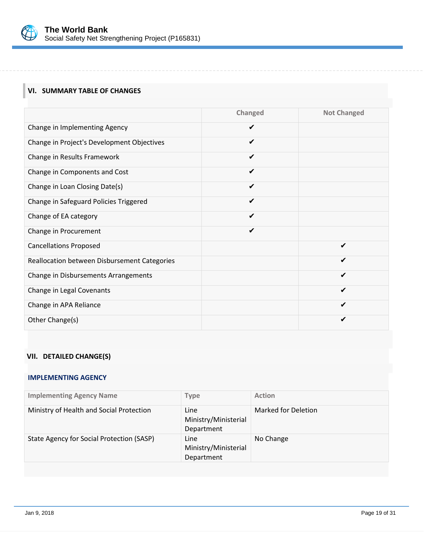

## <span id="page-21-0"></span>**VI. SUMMARY TABLE OF CHANGES**

|                                              | Changed      | <b>Not Changed</b> |
|----------------------------------------------|--------------|--------------------|
| Change in Implementing Agency                | $\checkmark$ |                    |
| Change in Project's Development Objectives   | ✔            |                    |
| Change in Results Framework                  | ✔            |                    |
| Change in Components and Cost                | ✔            |                    |
| Change in Loan Closing Date(s)               | ✔            |                    |
| Change in Safeguard Policies Triggered       | ✔            |                    |
| Change of EA category                        | ✔            |                    |
| Change in Procurement                        | ✔            |                    |
| <b>Cancellations Proposed</b>                |              | ✔                  |
| Reallocation between Disbursement Categories |              |                    |
| Change in Disbursements Arrangements         |              | ✔                  |
| Change in Legal Covenants                    |              | ✔                  |
| Change in APA Reliance                       |              | ✔                  |
| Other Change(s)                              |              |                    |

## <span id="page-21-1"></span>**VII. DETAILED CHANGE(S)**

## **IMPLEMENTING AGENCY**

| <b>Implementing Agency Name</b>           | <b>Type</b>                                | <b>Action</b>       |
|-------------------------------------------|--------------------------------------------|---------------------|
| Ministry of Health and Social Protection  | Line<br>Ministry/Ministerial<br>Department | Marked for Deletion |
| State Agency for Social Protection (SASP) | Line<br>Ministry/Ministerial<br>Department | No Change           |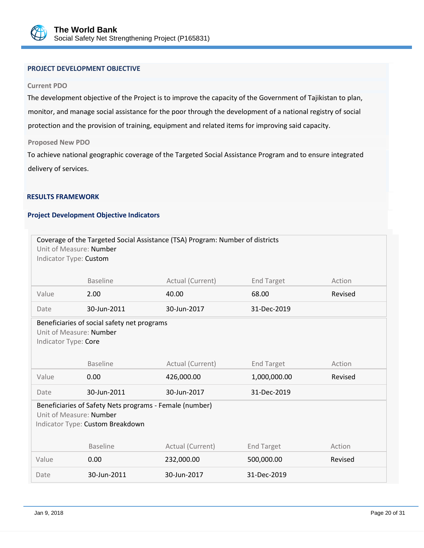

## **PROJECT DEVELOPMENT OBJECTIVE**

#### **Current PDO**

The development objective of the Project is to improve the capacity of the Government of Tajikistan to plan, monitor, and manage social assistance for the poor through the development of a national registry of social protection and the provision of training, equipment and related items for improving said capacity.

#### **Proposed New PDO**

To achieve national geographic coverage of the Targeted Social Assistance Program and to ensure integrated delivery of services.

#### **RESULTS FRAMEWORK**

## **Project Development Objective Indicators**

| Unit of Measure: Number<br>Indicator Type: Custom                                                                      |                 | Coverage of the Targeted Social Assistance (TSA) Program: Number of districts |                   |         |  |
|------------------------------------------------------------------------------------------------------------------------|-----------------|-------------------------------------------------------------------------------|-------------------|---------|--|
|                                                                                                                        | <b>Baseline</b> | Actual (Current)                                                              | <b>End Target</b> | Action  |  |
| Value                                                                                                                  | 2.00            | 40.00                                                                         | 68.00             | Revised |  |
| Date                                                                                                                   | 30-Jun-2011     | 30-Jun-2017                                                                   | 31-Dec-2019       |         |  |
| Beneficiaries of social safety net programs<br>Unit of Measure: Number<br>Indicator Type: Core                         |                 |                                                                               |                   |         |  |
|                                                                                                                        | <b>Baseline</b> | Actual (Current)                                                              | <b>End Target</b> | Action  |  |
| Value                                                                                                                  | 0.00            | 426,000.00                                                                    | 1,000,000.00      | Revised |  |
| Date                                                                                                                   | 30-Jun-2011     | 30-Jun-2017                                                                   | 31-Dec-2019       |         |  |
| Beneficiaries of Safety Nets programs - Female (number)<br>Unit of Measure: Number<br>Indicator Type: Custom Breakdown |                 |                                                                               |                   |         |  |
|                                                                                                                        | <b>Baseline</b> | Actual (Current)                                                              | <b>End Target</b> | Action  |  |
| Value                                                                                                                  | 0.00            | 232,000.00                                                                    | 500,000.00        | Revised |  |
| Date                                                                                                                   | 30-Jun-2011     | 30-Jun-2017                                                                   | 31-Dec-2019       |         |  |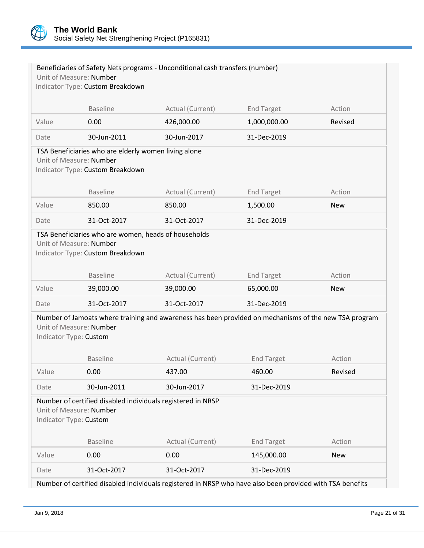

|                        | Unit of Measure: Number                                                                | Beneficiaries of Safety Nets programs - Unconditional cash transfers (number)                         |                   |            |
|------------------------|----------------------------------------------------------------------------------------|-------------------------------------------------------------------------------------------------------|-------------------|------------|
|                        | Indicator Type: Custom Breakdown                                                       |                                                                                                       |                   |            |
|                        |                                                                                        |                                                                                                       |                   |            |
|                        | <b>Baseline</b>                                                                        | Actual (Current)                                                                                      | <b>End Target</b> | Action     |
| Value                  | 0.00                                                                                   | 426,000.00                                                                                            | 1,000,000.00      | Revised    |
| Date                   | 30-Jun-2011                                                                            | 30-Jun-2017                                                                                           | 31-Dec-2019       |            |
|                        | TSA Beneficiaries who are elderly women living alone                                   |                                                                                                       |                   |            |
|                        | Unit of Measure: Number<br>Indicator Type: Custom Breakdown                            |                                                                                                       |                   |            |
|                        |                                                                                        |                                                                                                       |                   |            |
|                        | <b>Baseline</b>                                                                        | Actual (Current)                                                                                      | <b>End Target</b> | Action     |
| Value                  | 850.00                                                                                 | 850.00                                                                                                | 1,500.00          | <b>New</b> |
| Date                   | 31-Oct-2017                                                                            | 31-Oct-2017                                                                                           | 31-Dec-2019       |            |
|                        | Unit of Measure: Number<br>Indicator Type: Custom Breakdown<br><b>Baseline</b>         | Actual (Current)                                                                                      | <b>End Target</b> | Action     |
| Value                  | 39,000.00                                                                              | 39,000.00                                                                                             | 65,000.00         | <b>New</b> |
| Date                   | 31-Oct-2017                                                                            | 31-Oct-2017                                                                                           | 31-Dec-2019       |            |
|                        |                                                                                        |                                                                                                       |                   |            |
| Indicator Type: Custom | Unit of Measure: Number                                                                | Number of Jamoats where training and awareness has been provided on mechanisms of the new TSA program |                   |            |
|                        | <b>Baseline</b>                                                                        | Actual (Current)                                                                                      | <b>End Target</b> | Action     |
| Value                  | 0.00                                                                                   | 437.00                                                                                                | 460.00            | Revised    |
| Date                   | 30-Jun-2011                                                                            | 30-Jun-2017                                                                                           | 31-Dec-2019       |            |
| Indicator Type: Custom | Number of certified disabled individuals registered in NRSP<br>Unit of Measure: Number |                                                                                                       |                   |            |
|                        | <b>Baseline</b>                                                                        | Actual (Current)                                                                                      | <b>End Target</b> | Action     |
|                        |                                                                                        |                                                                                                       |                   |            |
| Value                  | 0.00                                                                                   | 0.00                                                                                                  | 145,000.00        | <b>New</b> |

Number of certified disabled individuals registered in NRSP who have also been provided with TSA benefits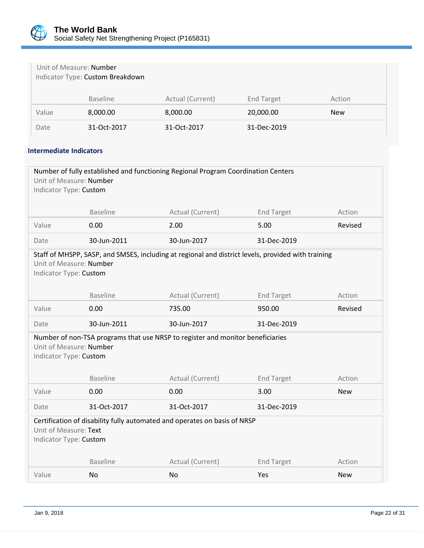

|       | Unit of Measure: Number<br>Indicator Type: Custom Breakdown |                  |                   |            |
|-------|-------------------------------------------------------------|------------------|-------------------|------------|
|       | <b>Baseline</b>                                             | Actual (Current) | <b>End Target</b> | Action     |
| Value | 8,000.00                                                    | 8,000.00         | 20,000.00         | <b>New</b> |
| Date  | 31-Oct-2017                                                 | 31-Oct-2017      | 31-Dec-2019       |            |

## **Intermediate Indicators**

| Number of fully established and functioning Regional Program Coordination Centers<br>Unit of Measure: Number<br>Indicator Type: Custom                  |                 |                  |                   |            |  |  |
|---------------------------------------------------------------------------------------------------------------------------------------------------------|-----------------|------------------|-------------------|------------|--|--|
|                                                                                                                                                         | <b>Baseline</b> | Actual (Current) | <b>End Target</b> | Action     |  |  |
| Value                                                                                                                                                   | 0.00            | 2.00             | 5.00              | Revised    |  |  |
|                                                                                                                                                         |                 |                  |                   |            |  |  |
| Date                                                                                                                                                    | 30-Jun-2011     | 30-Jun-2017      | 31-Dec-2019       |            |  |  |
| Staff of MHSPP, SASP, and SMSES, including at regional and district levels, provided with training<br>Unit of Measure: Number<br>Indicator Type: Custom |                 |                  |                   |            |  |  |
|                                                                                                                                                         | <b>Baseline</b> | Actual (Current) | <b>End Target</b> | Action     |  |  |
| Value                                                                                                                                                   | 0.00            | 735.00           | 950.00            | Revised    |  |  |
| Date                                                                                                                                                    | 30-Jun-2011     | 30-Jun-2017      | 31-Dec-2019       |            |  |  |
| Number of non-TSA programs that use NRSP to register and monitor beneficiaries<br>Unit of Measure: Number<br>Indicator Type: Custom                     |                 |                  |                   |            |  |  |
|                                                                                                                                                         | <b>Baseline</b> | Actual (Current) | <b>End Target</b> | Action     |  |  |
| Value                                                                                                                                                   | 0.00            | 0.00             | 3.00              | <b>New</b> |  |  |
| Date                                                                                                                                                    | 31-Oct-2017     | 31-Oct-2017      | 31-Dec-2019       |            |  |  |
| Certification of disability fully automated and operates on basis of NRSP<br>Unit of Measure: Text<br>Indicator Type: Custom                            |                 |                  |                   |            |  |  |
|                                                                                                                                                         | <b>Baseline</b> | Actual (Current) | <b>End Target</b> | Action     |  |  |
| Value                                                                                                                                                   | No              | <b>No</b>        | Yes               | <b>New</b> |  |  |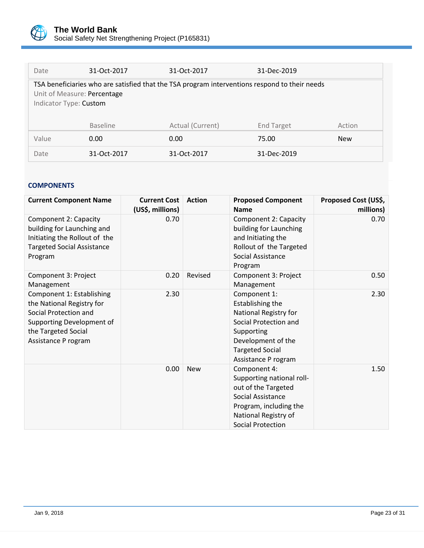

| Date                                                                                                                                                   | 31-Oct-2017     | 31-Oct-2017      | 31-Dec-2019       |            |  |
|--------------------------------------------------------------------------------------------------------------------------------------------------------|-----------------|------------------|-------------------|------------|--|
| TSA beneficiaries who are satisfied that the TSA program interventions respond to their needs<br>Unit of Measure: Percentage<br>Indicator Type: Custom |                 |                  |                   |            |  |
|                                                                                                                                                        | <b>Baseline</b> | Actual (Current) | <b>End Target</b> | Action     |  |
| Value                                                                                                                                                  | 0.00            | 0.00             | 75.00             | <b>New</b> |  |
| Date                                                                                                                                                   | 31-Oct-2017     | 31-Oct-2017      | 31-Dec-2019       |            |  |

## **COMPONENTS**

| <b>Current Component Name</b>                                                                                                                              | <b>Current Cost</b><br>(US\$, millions) | <b>Action</b> | <b>Proposed Component</b><br><b>Name</b>                                                                                                                                | Proposed Cost (US\$,<br>millions) |
|------------------------------------------------------------------------------------------------------------------------------------------------------------|-----------------------------------------|---------------|-------------------------------------------------------------------------------------------------------------------------------------------------------------------------|-----------------------------------|
| Component 2: Capacity<br>building for Launching and<br>Initiating the Rollout of the<br><b>Targeted Social Assistance</b><br>Program                       | 0.70                                    |               | Component 2: Capacity<br>building for Launching<br>and Initiating the<br>Rollout of the Targeted<br>Social Assistance<br>Program                                        | 0.70                              |
| Component 3: Project<br>Management                                                                                                                         | 0.20                                    | Revised       | Component 3: Project<br>Management                                                                                                                                      | 0.50                              |
| Component 1: Establishing<br>the National Registry for<br>Social Protection and<br>Supporting Development of<br>the Targeted Social<br>Assistance P rogram | 2.30                                    |               | Component 1:<br>Establishing the<br>National Registry for<br>Social Protection and<br>Supporting<br>Development of the<br><b>Targeted Social</b><br>Assistance P rogram | 2.30                              |
|                                                                                                                                                            | 0.00                                    | <b>New</b>    | Component 4:<br>Supporting national roll-<br>out of the Targeted<br>Social Assistance<br>Program, including the<br>National Registry of<br><b>Social Protection</b>     | 1.50                              |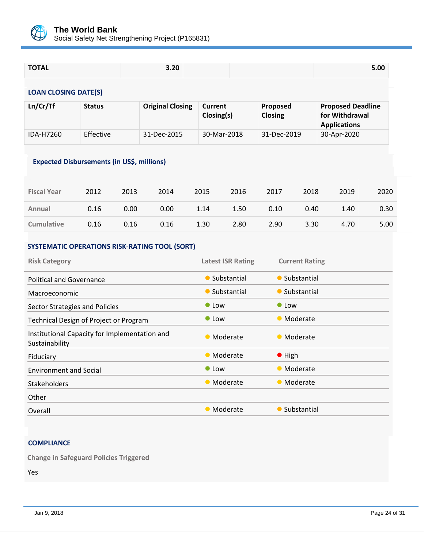

| <b>TOTAL</b> | 3.20 | 5.00 |
|--------------|------|------|
|              |      |      |

## **LOAN CLOSING DATE(S)**

| Ln/Cr/Tf  | <b>Status</b>    | <b>Original Closing</b> | <b>Current</b><br>Closing(s) | <b>Proposed</b><br><b>Closing</b> | <b>Proposed Deadline</b><br>for Withdrawal<br><b>Applications</b> |
|-----------|------------------|-------------------------|------------------------------|-----------------------------------|-------------------------------------------------------------------|
| IDA-H7260 | <b>Effective</b> | 31-Dec-2015             | 30-Mar-2018                  | 31-Dec-2019                       | 30-Apr-2020                                                       |

## **Expected Disbursements (in US\$, millions)**

| <b>Fiscal Year</b> | 2012 | 2013 | 2014 | 2015 | 2016 | 2017 | 2018 | 2019 | 2020 |
|--------------------|------|------|------|------|------|------|------|------|------|
| Annual             | 0.16 | 0.00 | 0.00 | 1.14 | 1.50 | 0.10 | 0.40 | 1.40 | 0.30 |
| <b>Cumulative</b>  | 0.16 | 0.16 | 0.16 | 1.30 | 2.80 | 2.90 | 3.30 | 4.70 | 5.00 |

## **SYSTEMATIC OPERATIONS RISK-RATING TOOL (SORT)**

| <b>Risk Category</b>                                            | <b>Latest ISR Rating</b> | <b>Current Rating</b> |
|-----------------------------------------------------------------|--------------------------|-----------------------|
| <b>Political and Governance</b>                                 | • Substantial            | • Substantial         |
| Macroeconomic                                                   | • Substantial            | • Substantial         |
| Sector Strategies and Policies                                  | $\bullet$ Low            | $\bullet$ Low         |
| Technical Design of Project or Program                          | $\bullet$ Low            | • Moderate            |
| Institutional Capacity for Implementation and<br>Sustainability | • Moderate               | • Moderate            |
| Fiduciary                                                       | • Moderate               | $\bullet$ High        |
| <b>Environment and Social</b>                                   | $\bullet$ Low            | • Moderate            |
| <b>Stakeholders</b>                                             | • Moderate               | • Moderate            |
| Other                                                           |                          |                       |
| Overall                                                         | • Moderate               | • Substantial         |

## **COMPLIANCE**

**Change in Safeguard Policies Triggered**

Yes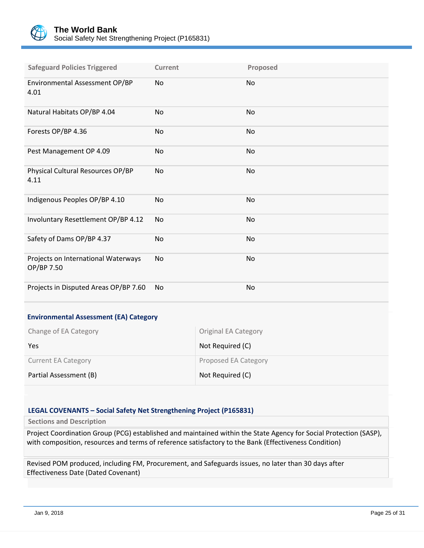

| <b>Safeguard Policies Triggered</b>               | Current   | Proposed |
|---------------------------------------------------|-----------|----------|
| Environmental Assessment OP/BP<br>4.01            | No        | No       |
| Natural Habitats OP/BP 4.04                       | No        | No       |
| Forests OP/BP 4.36                                | No        | No       |
| Pest Management OP 4.09                           | No        | No       |
| Physical Cultural Resources OP/BP<br>4.11         | No        | No       |
| Indigenous Peoples OP/BP 4.10                     | <b>No</b> | No       |
| Involuntary Resettlement OP/BP 4.12               | No        | No       |
| Safety of Dams OP/BP 4.37                         | <b>No</b> | No       |
| Projects on International Waterways<br>OP/BP 7.50 | No        | No       |
| Projects in Disputed Areas OP/BP 7.60             | No        | No       |

### **Environmental Assessment (EA) Category**

| Change of EA Category      | <b>Original EA Category</b> |
|----------------------------|-----------------------------|
| Yes                        | Not Required (C)            |
| <b>Current EA Category</b> | Proposed EA Category        |
| Partial Assessment (B)     | Not Required (C)            |

## **LEGAL COVENANTS – Social Safety Net Strengthening Project (P165831)**

**Sections and Description**

Project Coordination Group (PCG) established and maintained within the State Agency for Social Protection (SASP), with composition, resources and terms of reference satisfactory to the Bank (Effectiveness Condition)

Revised POM produced, including FM, Procurement, and Safeguards issues, no later than 30 days after Effectiveness Date (Dated Covenant)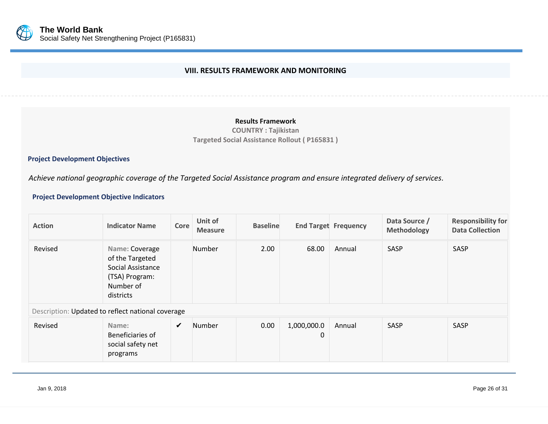

## **VIII. RESULTS FRAMEWORK AND MONITORING**

## **Results Framework**

**COUNTRY : Tajikistan Targeted Social Assistance Rollout ( P165831 )**

#### **Project Development Objectives**

*Achieve national geographic coverage of the Targeted Social Assistance program and ensure integrated delivery of services.*

## <span id="page-28-0"></span>**Project Development Objective Indicators**

| <b>Action</b>                                     | <b>Indicator Name</b>                                                                              | Core | Unit of<br><b>Measure</b> | <b>Baseline</b> |                            | <b>End Target Frequency</b> | Data Source /<br><b>Methodology</b> | <b>Responsibility for</b><br><b>Data Collection</b> |
|---------------------------------------------------|----------------------------------------------------------------------------------------------------|------|---------------------------|-----------------|----------------------------|-----------------------------|-------------------------------------|-----------------------------------------------------|
| Revised                                           | Name: Coverage<br>of the Targeted<br>Social Assistance<br>(TSA) Program:<br>Number of<br>districts |      | Number                    | 2.00            | 68.00                      | Annual                      | SASP                                | SASP                                                |
| Description: Updated to reflect national coverage |                                                                                                    |      |                           |                 |                            |                             |                                     |                                                     |
| Revised                                           | Name:<br>Beneficiaries of<br>social safety net<br>programs                                         | ✔    | <b>Number</b>             | 0.00            | 1,000,000.0<br>$\mathbf 0$ | Annual                      | SASP                                | SASP                                                |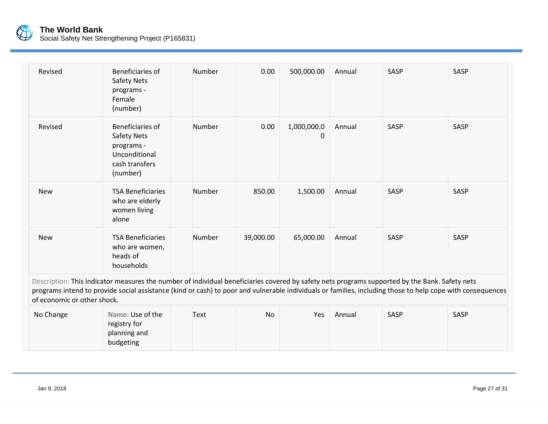

# **The World Bank**

Social Safety Net Strengthening Project (P165831)

| Revised | Beneficiaries of<br>Safety Nets<br>programs -<br>Female<br>(number)                          | Number | 0.00      | 500,000.00       | Annual | SASP | SASP |
|---------|----------------------------------------------------------------------------------------------|--------|-----------|------------------|--------|------|------|
| Revised | Beneficiaries of<br>Safety Nets<br>programs -<br>Unconditional<br>cash transfers<br>(number) | Number | 0.00      | 1,000,000.0<br>0 | Annual | SASP | SASP |
| New     | <b>TSA Beneficiaries</b><br>who are elderly<br>women living<br>alone                         | Number | 850.00    | 1,500.00         | Annual | SASP | SASP |
| New     | <b>TSA Beneficiaries</b><br>who are women,<br>heads of<br>households                         | Number | 39,000.00 | 65,000.00        | Annual | SASP | SASP |

Description: This indicator measures the number of individual beneficiaries covered by safety nets programs supported by the Bank. Safety nets programs intend to provide social assistance (kind or cash) to poor and vulnerable individuals or families, including those to help cope with consequences of economic or other shock.

| No Change | Name: Use of the | Text | No | Yes | Annual | SASP | SASP |
|-----------|------------------|------|----|-----|--------|------|------|
|           | registry for     |      |    |     |        |      |      |
|           | planning and     |      |    |     |        |      |      |
|           | budgeting        |      |    |     |        |      |      |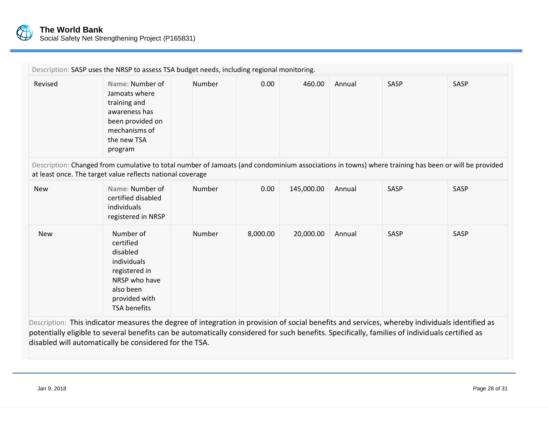

|            | Description: SASP uses the NRSP to assess TSA budget needs, including regional monitoring.                                                                                                                        |        |          |            |        |      |      |
|------------|-------------------------------------------------------------------------------------------------------------------------------------------------------------------------------------------------------------------|--------|----------|------------|--------|------|------|
| Revised    | Name: Number of<br>Jamoats where<br>training and<br>awareness has<br>been provided on<br>mechanisms of<br>the new TSA<br>program                                                                                  | Number | 0.00     | 460.00     | Annual | SASP | SASP |
|            | Description: Changed from cumulative to total number of Jamoats (and condominium associations in towns) where training has been or will be provided<br>at least once. The target value reflects national coverage |        |          |            |        |      |      |
| <b>New</b> | Name: Number of<br>certified disabled<br>individuals<br>registered in NRSP                                                                                                                                        | Number | 0.00     | 145,000.00 | Annual | SASP | SASP |
| <b>New</b> | Number of<br>certified<br>disabled<br>individuals<br>registered in<br>NRSP who have<br>also been<br>provided with<br><b>TSA benefits</b>                                                                          | Number | 8,000.00 | 20,000.00  | Annual | SASP | SASP |

Description: This indicator measures the degree of integration in provision of social benefits and services, whereby individuals identified as potentially eligible to several benefits can be automatically considered for such benefits. Specifically, families of individuals certified as disabled will automatically be considered for the TSA.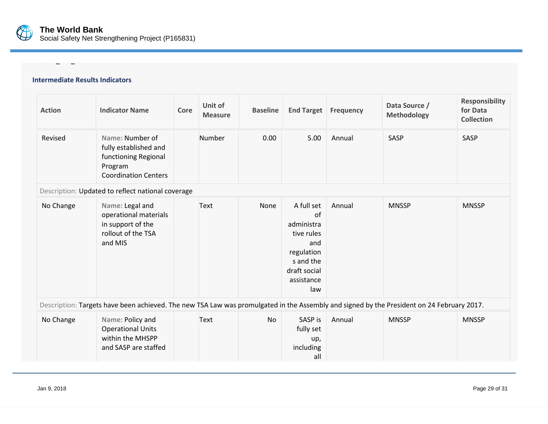

# **Intermediate Results Indicators**

**RESULT\_YES\_IO**

| <b>Action</b> | <b>Indicator Name</b>                                                                                                                     | Core | Unit of<br><b>Measure</b> | <b>Baseline</b> | <b>End Target</b>                                                                                                   | <b>Frequency</b> | Data Source /<br><b>Methodology</b> | <b>Responsibility</b><br>for Data<br><b>Collection</b> |
|---------------|-------------------------------------------------------------------------------------------------------------------------------------------|------|---------------------------|-----------------|---------------------------------------------------------------------------------------------------------------------|------------------|-------------------------------------|--------------------------------------------------------|
| Revised       | Name: Number of<br>fully established and<br>functioning Regional<br>Program<br><b>Coordination Centers</b>                                |      | Number                    | 0.00            | 5.00                                                                                                                | Annual           | SASP                                | SASP                                                   |
|               | Description: Updated to reflect national coverage                                                                                         |      |                           |                 |                                                                                                                     |                  |                                     |                                                        |
| No Change     | Name: Legal and<br>operational materials<br>in support of the<br>rollout of the TSA<br>and MIS                                            |      | Text                      | None            | A full set<br>of<br>administra<br>tive rules<br>and<br>regulation<br>s and the<br>draft social<br>assistance<br>law | Annual           | <b>MNSSP</b>                        | <b>MNSSP</b>                                           |
|               | Description: Targets have been achieved. The new TSA Law was promulgated in the Assembly and signed by the President on 24 February 2017. |      |                           |                 |                                                                                                                     |                  |                                     |                                                        |
| No Change     | Name: Policy and<br><b>Operational Units</b><br>within the MHSPP<br>and SASP are staffed                                                  |      | Text                      | <b>No</b>       | SASP is<br>fully set<br>up,<br>including<br>all                                                                     | Annual           | <b>MNSSP</b>                        | <b>MNSSP</b>                                           |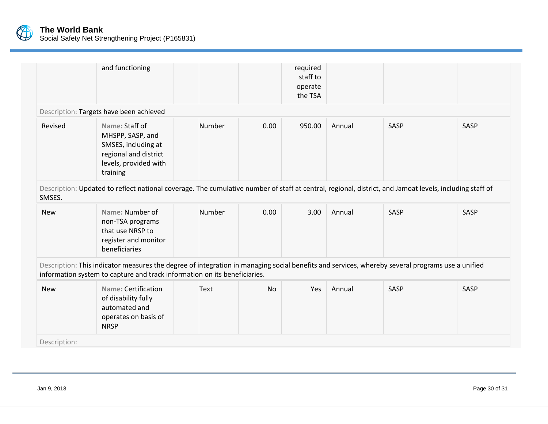

|              | and functioning                                                                                                                                                                                                              |        |           | required<br>staff to<br>operate<br>the TSA |        |      |      |
|--------------|------------------------------------------------------------------------------------------------------------------------------------------------------------------------------------------------------------------------------|--------|-----------|--------------------------------------------|--------|------|------|
|              | Description: Targets have been achieved                                                                                                                                                                                      |        |           |                                            |        |      |      |
| Revised      | Name: Staff of<br>MHSPP, SASP, and<br>SMSES, including at<br>regional and district<br>levels, provided with<br>training                                                                                                      | Number | 0.00      | 950.00                                     | Annual | SASP | SASP |
| SMSES.       | Description: Updated to reflect national coverage. The cumulative number of staff at central, regional, district, and Jamoat levels, including staff of                                                                      |        |           |                                            |        |      |      |
| <b>New</b>   | Name: Number of<br>non-TSA programs<br>that use NRSP to<br>register and monitor<br>beneficiaries                                                                                                                             | Number | 0.00      | 3.00                                       | Annual | SASP | SASP |
|              | Description: This indicator measures the degree of integration in managing social benefits and services, whereby several programs use a unified<br>information system to capture and track information on its beneficiaries. |        |           |                                            |        |      |      |
| <b>New</b>   | Name: Certification<br>of disability fully<br>automated and<br>operates on basis of<br><b>NRSP</b>                                                                                                                           | Text   | <b>No</b> | Yes                                        | Annual | SASP | SASP |
| Description: |                                                                                                                                                                                                                              |        |           |                                            |        |      |      |